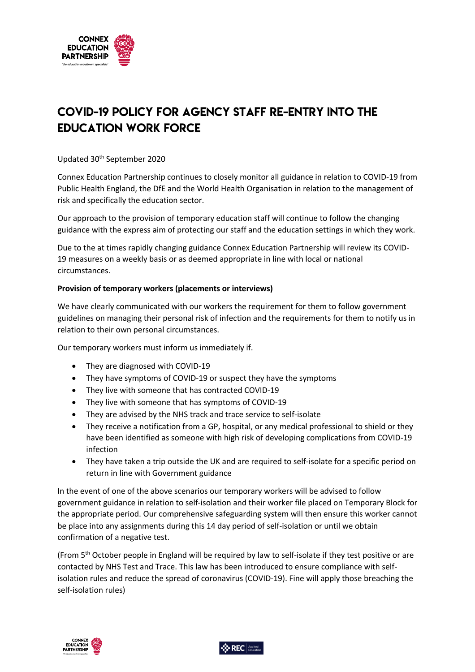

## COVID-19 Policy for agency staff re-entry into the education work force

Updated 30th September 2020

Connex Education Partnership continues to closely monitor all guidance in relation to COVID-19 from Public Health England, the DfE and the World Health Organisation in relation to the management of risk and specifically the education sector.

Our approach to the provision of temporary education staff will continue to follow the changing guidance with the express aim of protecting our staff and the education settings in which they work.

Due to the at times rapidly changing guidance Connex Education Partnership will review its COVID-19 measures on a weekly basis or as deemed appropriate in line with local or national circumstances.

## **Provision of temporary workers (placements or interviews)**

We have clearly communicated with our workers the requirement for them to follow government guidelines on managing their personal risk of infection and the requirements for them to notify us in relation to their own personal circumstances.

Our temporary workers must inform us immediately if.

- They are diagnosed with COVID-19
- They have symptoms of COVID-19 or suspect they have the symptoms
- They live with someone that has contracted COVID-19
- They live with someone that has symptoms of COVID-19
- They are advised by the NHS track and trace service to self-isolate
- They receive a notification from a GP, hospital, or any medical professional to shield or they have been identified as someone with high risk of developing complications from COVID-19 infection
- They have taken a trip outside the UK and are required to self-isolate for a specific period on return in line with Government guidance

In the event of one of the above scenarios our temporary workers will be advised to follow government guidance in relation to self-isolation and their worker file placed on Temporary Block for the appropriate period. Our comprehensive safeguarding system will then ensure this worker cannot be place into any assignments during this 14 day period of self-isolation or until we obtain confirmation of a negative test.

(From  $5<sup>th</sup>$  October people in England will be required by law to self-isolate if they test positive or are contacted by NHS Test and Trace. This law has been introduced to ensure compliance with selfisolation rules and reduce the spread of coronavirus (COVID-19). Fine will apply those breaching the self-isolation rules)